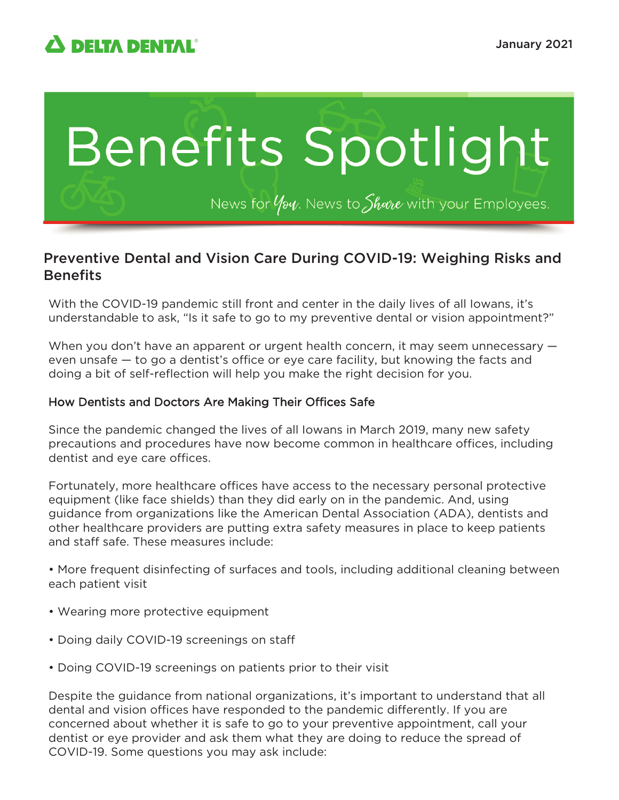

# Benefits Spotlight

News for  $\psi$  Mews to Share with your Employees.

# Preventive Dental and Vision Care During COVID-19: Weighing Risks and **Benefits**

With the COVID-19 pandemic still front and center in the daily lives of all Iowans, it's understandable to ask, "Is it safe to go to my preventive dental or vision appointment?"

When you don't have an apparent or urgent health concern, it may seem unnecessary  $$ even unsafe — to go a dentist's office or eye care facility, but knowing the facts and doing a bit of self-reflection will help you make the right decision for you.

### How Dentists and Doctors Are Making Their Offices Safe

Since the pandemic changed the lives of all Iowans in March 2019, many new safety precautions and procedures have now become common in healthcare offices, including dentist and eye care offices.

Fortunately, more healthcare offices have access to the necessary personal protective equipment (like face shields) than they did early on in the pandemic. And, using guidance from organizations like the American Dental Association (ADA), dentists and other healthcare providers are putting extra safety measures in place to keep patients and staff safe. These measures include:

• More frequent disinfecting of surfaces and tools, including additional cleaning between each patient visit

- Wearing more protective equipment
- Doing daily COVID-19 screenings on staff
- Doing COVID-19 screenings on patients prior to their visit

Despite the guidance from national organizations, it's important to understand that all dental and vision offices have responded to the pandemic differently. If you are concerned about whether it is safe to go to your preventive appointment, call your dentist or eye provider and ask them what they are doing to reduce the spread of COVID-19. Some questions you may ask include: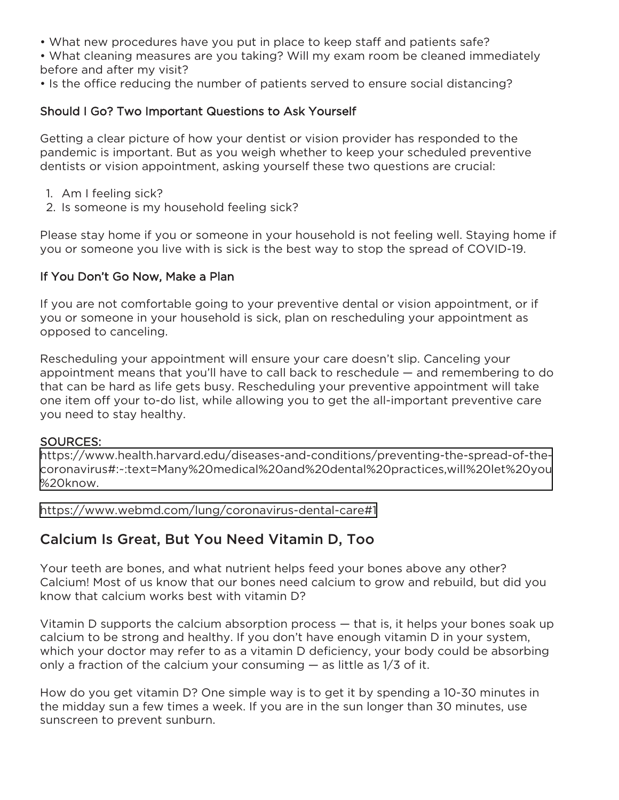• What new procedures have you put in place to keep staff and patients safe?

• What cleaning measures are you taking? Will my exam room be cleaned immediately before and after my visit?

• Is the office reducing the number of patients served to ensure social distancing?

## Should I Go? Two Important Questions to Ask Yourself

Getting a clear picture of how your dentist or vision provider has responded to the pandemic is important. But as you weigh whether to keep your scheduled preventive dentists or vision appointment, asking yourself these two questions are crucial:

- 1. Am I feeling sick?
- 2. Is someone is my household feeling sick?

Please stay home if you or someone in your household is not feeling well. Staying home if you or someone you live with is sick is the best way to stop the spread of COVID-19.

## If You Don't Go Now, Make a Plan

If you are not comfortable going to your preventive dental or vision appointment, or if you or someone in your household is sick, plan on rescheduling your appointment as opposed to canceling.

Rescheduling your appointment will ensure your care doesn't slip. Canceling your appointment means that you'll have to call back to reschedule — and remembering to do that can be hard as life gets busy. Rescheduling your preventive appointment will take one item off your to-do list, while allowing you to get the all-important preventive care you need to stay healthy.

#### SOURCES:

[https://www.health.harvard.edu/diseases-and-conditions/preventing-the-spread-of-the](https://www.health.harvard.edu/diseases-and-conditions/preventing-the-spread-of-the-coronavirus#:~:text=Many%20medical%20and%20dental%20practices,will%20let%20you%20know.)coronavirus#:~:text=Many%20medical%20and%20dental%20practices,will%20let%20you %20know.

<https://www.webmd.com/lung/coronavirus-dental-care#1>

# Calcium Is Great, But You Need Vitamin D, Too

Your teeth are bones, and what nutrient helps feed your bones above any other? Calcium! Most of us know that our bones need calcium to grow and rebuild, but did you know that calcium works best with vitamin D?

Vitamin D supports the calcium absorption process — that is, it helps your bones soak up calcium to be strong and healthy. If you don't have enough vitamin D in your system, which your doctor may refer to as a vitamin D deficiency, your body could be absorbing only a fraction of the calcium your consuming  $-$  as little as  $1/3$  of it.

How do you get vitamin D? One simple way is to get it by spending a 10-30 minutes in the midday sun a few times a week. If you are in the sun longer than 30 minutes, use sunscreen to prevent sunburn.